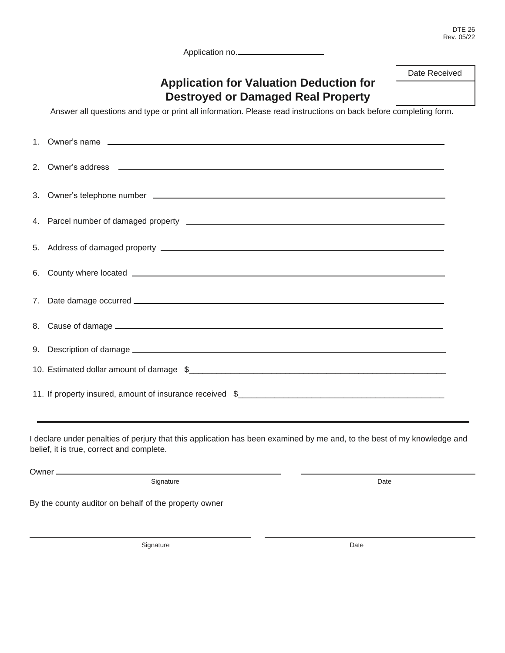DTE 26 Rev. 05/22

Application no.

# **Application for Valuation Deduction for Destroyed or Damaged Real Property**

Date Received

Answer all questions and type or print all information. Please read instructions on back before completing form.

|  | 9. Description of damage 1000 million and the control of the control of the control of the control of the control of the control of the control of the control of the control of the control of the control of the control of |  |  |  |  |
|--|-------------------------------------------------------------------------------------------------------------------------------------------------------------------------------------------------------------------------------|--|--|--|--|
|  |                                                                                                                                                                                                                               |  |  |  |  |
|  |                                                                                                                                                                                                                               |  |  |  |  |

I declare under penalties of perjury that this application has been examined by me and, to the best of my knowledge and belief, it is true, correct and complete.

Owner

Signature Date

By the county auditor on behalf of the property owner

Signature Date